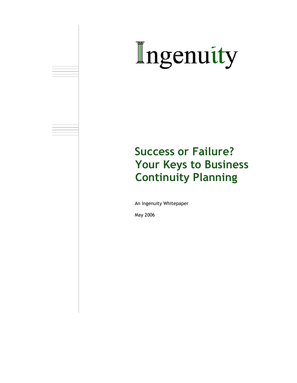# Ingenuity

## **Success or Failure? Your Keys to Business Continuity Planning**

An Ingenuity Whitepaper

May 2006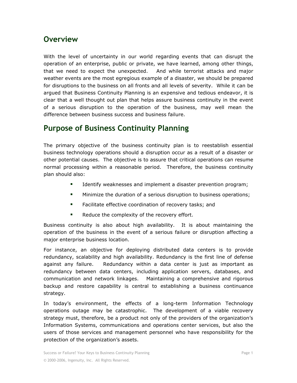#### **Overview**

With the level of uncertainty in our world regarding events that can disrupt the operation of an enterprise, public or private, we have learned, among other things, that we need to expect the unexpected. And while terrorist attacks and major weather events are the most egregious example of a disaster, we should be prepared for disruptions to the business on all fronts and all levels of severity. While it can be argued that Business Continuity Planning is an expensive and tedious endeavor, it is clear that a well thought out plan that helps assure business continuity in the event of a serious disruption to the operation of the business, may well mean the difference between business success and business failure.

#### **Purpose of Business Continuity Planning**

The primary objective of the business continuity plan is to reestablish essential business technology operations should a disruption occur as a result of a disaster or other potential causes. The objective is to assure that critical operations can resume normal processing within a reasonable period. Therefore, the business continuity plan should also:

- **IDENTIFY** 1 Identify weaknesses and implement a disaster prevention program;
- **Minimize the duration of a serious disruption to business operations;**
- **Facilitate effective coordination of recovery tasks; and**
- Reduce the complexity of the recovery effort.

Business continuity is also about high availability. It is about maintaining the operation of the business in the event of a serious failure or disruption affecting a major enterprise business location.

For instance, an objective for deploying distributed data centers is to provide redundancy, scalability and high availability. Redundancy is the first line of defense against any failure. Redundancy within a data center is just as important as redundancy between data centers, including application servers, databases, and communication and network linkages. Maintaining a comprehensive and rigorous backup and restore capability is central to establishing a business continuance strategy.

In today's environment, the effects of a long-term Information Technology operations outage may be catastrophic. The development of a viable recovery strategy must, therefore, be a product not only of the providers of the organization's Information Systems, communications and operations center services, but also the users of those services and management personnel who have responsibility for the protection of the organization's assets.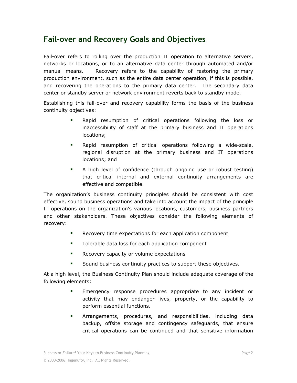#### **Fail-over and Recovery Goals and Objectives**

Fail-over refers to rolling over the production IT operation to alternative servers, networks or locations, or to an alternative data center through automated and/or manual means. Recovery refers to the capability of restoring the primary production environment, such as the entire data center operation, if this is possible, and recovering the operations to the primary data center. The secondary data center or standby server or network environment reverts back to standby mode.

Establishing this fail-over and recovery capability forms the basis of the business continuity objectives:

- Rapid resumption of critical operations following the loss or inaccessibility of staff at the primary business and IT operations locations;
- Rapid resumption of critical operations following a wide-scale, regional disruption at the primary business and IT operations locations; and
- A high level of confidence (through ongoing use or robust testing) that critical internal and external continuity arrangements are effective and compatible.

The organization's business continuity principles should be consistent with cost effective, sound business operations and take into account the impact of the principle IT operations on the organization's various locations, customers, business partners and other stakeholders. These objectives consider the following elements of recovery:

- **Recovery time expectations for each application component**
- **Tolerable data loss for each application component**
- **Recovery capacity or volume expectations**
- Sound business continuity practices to support these objectives.

At a high level, the Business Continuity Plan should include adequate coverage of the following elements:

- Emergency response procedures appropriate to any incident or activity that may endanger lives, property, or the capability to perform essential functions.
- **EXTERGON EXTERGONARY EXTERGONARY EXTERGONARY EXTERGONARY EXTERGONARY EXTERGONARY EXTERGONARY EXTERGONARY EXTERGONARY EXTERGONARY EXTERGONARY EXTERGONARY EXTERGONARY EXTERGONARY EXTERGONARY EXTERGONARY EXTERGONARY EXTERGON** backup, offsite storage and contingency safeguards, that ensure critical operations can be continued and that sensitive information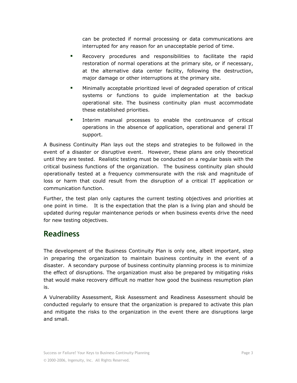can be protected if normal processing or data communications are interrupted for any reason for an unacceptable period of time.

- **Recovery procedures and responsibilities to facilitate the rapid** restoration of normal operations at the primary site, or if necessary, at the alternative data center facility, following the destruction, major damage or other interruptions at the primary site.
- Minimally acceptable prioritized level of degraded operation of critical systems or functions to guide implementation at the backup operational site. The business continuity plan must accommodate these established priorities.
- Interim manual processes to enable the continuance of critical operations in the absence of application, operational and general IT support.

A Business Continuity Plan lays out the steps and strategies to be followed in the event of a disaster or disruptive event. However, these plans are only theoretical until they are tested. Realistic testing must be conducted on a regular basis with the critical business functions of the organization. The business continuity plan should operationally tested at a frequency commensurate with the risk and magnitude of loss or harm that could result from the disruption of a critical IT application or communication function.

Further, the test plan only captures the current testing objectives and priorities at one point in time. It is the expectation that the plan is a living plan and should be updated during regular maintenance periods or when business events drive the need for new testing objectives.

#### **Readiness**

The development of the Business Continuity Plan is only one, albeit important, step in preparing the organization to maintain business continuity in the event of a disaster. A secondary purpose of business continuity planning process is to minimize the effect of disruptions. The organization must also be prepared by mitigating risks that would make recovery difficult no matter how good the business resumption plan is.

A Vulnerability Assessment, Risk Assessment and Readiness Assessment should be conducted regularly to ensure that the organization is prepared to activate this plan and mitigate the risks to the organization in the event there are disruptions large and small.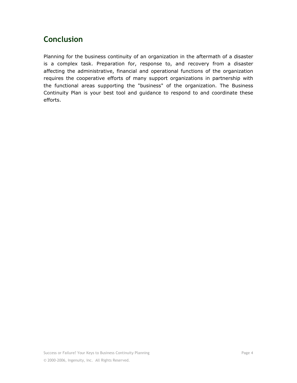### **Conclusion**

Planning for the business continuity of an organization in the aftermath of a disaster is a complex task. Preparation for, response to, and recovery from a disaster affecting the administrative, financial and operational functions of the organization requires the cooperative efforts of many support organizations in partnership with the functional areas supporting the "business" of the organization. The Business Continuity Plan is your best tool and guidance to respond to and coordinate these efforts.